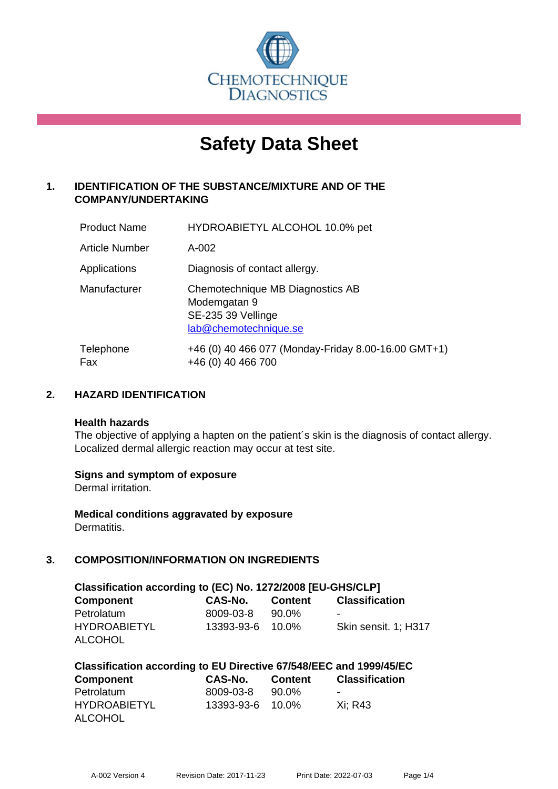

# **Safety Data Sheet**

# **1. IDENTIFICATION OF THE SUBSTANCE/MIXTURE AND OF THE COMPANY/UNDERTAKING**

| <b>Product Name</b> | HYDROABIETYL ALCOHOL 10.0% pet                                                                  |
|---------------------|-------------------------------------------------------------------------------------------------|
| Article Number      | A-002                                                                                           |
| Applications        | Diagnosis of contact allergy.                                                                   |
| Manufacturer        | Chemotechnique MB Diagnostics AB<br>Modemgatan 9<br>SE-235 39 Vellinge<br>lab@chemotechnique.se |
| Telephone<br>Fax    | +46 (0) 40 466 077 (Monday-Friday 8.00-16.00 GMT+1)<br>+46 (0) 40 466 700                       |

## **2. HAZARD IDENTIFICATION**

#### **Health hazards**

The objective of applying a hapten on the patient's skin is the diagnosis of contact allergy. Localized dermal allergic reaction may occur at test site.

## **Signs and symptom of exposure**

Dermal irritation.

**Medical conditions aggravated by exposure** Dermatitis.

# **3. COMPOSITION/INFORMATION ON INGREDIENTS**

| Classification according to (EC) No. 1272/2008 [EU-GHS/CLP] |                  |         |                       |  |  |  |
|-------------------------------------------------------------|------------------|---------|-----------------------|--|--|--|
| <b>Component</b>                                            | CAS-No.          | Content | <b>Classification</b> |  |  |  |
| Petrolatum                                                  | 8009-03-8        | 90.0%   | -                     |  |  |  |
| <b>HYDROABIETYL</b>                                         | 13393-93-6 10.0% |         | Skin sensit. 1: H317  |  |  |  |
| ALCOHOL                                                     |                  |         |                       |  |  |  |

| Classification according to EU Directive 67/548/EEC and 1999/45/EC |                  |                |                       |  |  |  |
|--------------------------------------------------------------------|------------------|----------------|-----------------------|--|--|--|
| Component                                                          | CAS-No.          | <b>Content</b> | <b>Classification</b> |  |  |  |
| Petrolatum                                                         | 8009-03-8        | 90.0%          | -                     |  |  |  |
| <b>HYDROABIETYL</b>                                                | 13393-93-6 10.0% |                | Xi: R43               |  |  |  |
| <b>ALCOHOL</b>                                                     |                  |                |                       |  |  |  |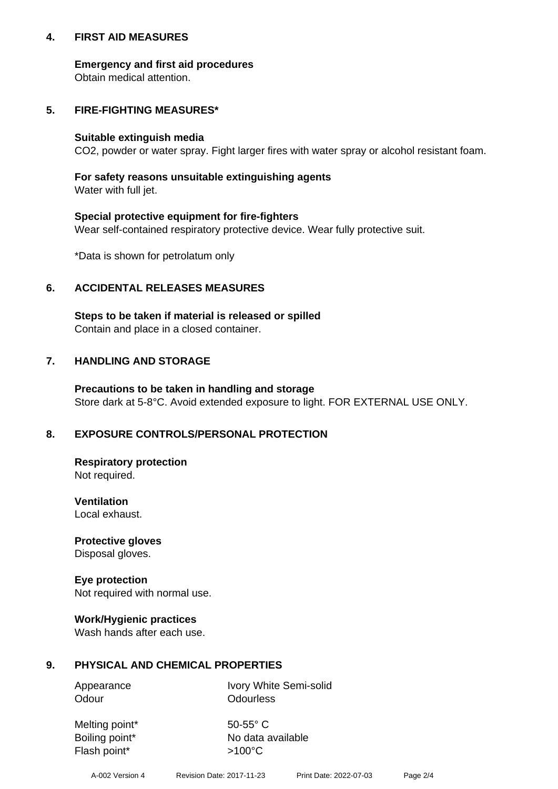## **4. FIRST AID MEASURES**

## **Emergency and first aid procedures**

Obtain medical attention.

## **5. FIRE-FIGHTING MEASURES\***

#### **Suitable extinguish media**

CO2, powder or water spray. Fight larger fires with water spray or alcohol resistant foam.

# **For safety reasons unsuitable extinguishing agents**

Water with full jet.

## **Special protective equipment for fire-fighters**

Wear self-contained respiratory protective device. Wear fully protective suit.

\*Data is shown for petrolatum only

## **6. ACCIDENTAL RELEASES MEASURES**

**Steps to be taken if material is released or spilled** Contain and place in a closed container.

## **7. HANDLING AND STORAGE**

**Precautions to be taken in handling and storage** Store dark at 5-8°C. Avoid extended exposure to light. FOR EXTERNAL USE ONLY.

# **8. EXPOSURE CONTROLS/PERSONAL PROTECTION**

**Respiratory protection** Not required.

**Ventilation** Local exhaust.

**Protective gloves** Disposal gloves.

#### **Eye protection** Not required with normal use.

## **Work/Hygienic practices**

Wash hands after each use.

## **9. PHYSICAL AND CHEMICAL PROPERTIES**

Odour **Odourless** 

Appearance Ivory White Semi-solid

Melting point\* 50-55° C Flash point\*  $>100^{\circ}$ C

Boiling point\* No data available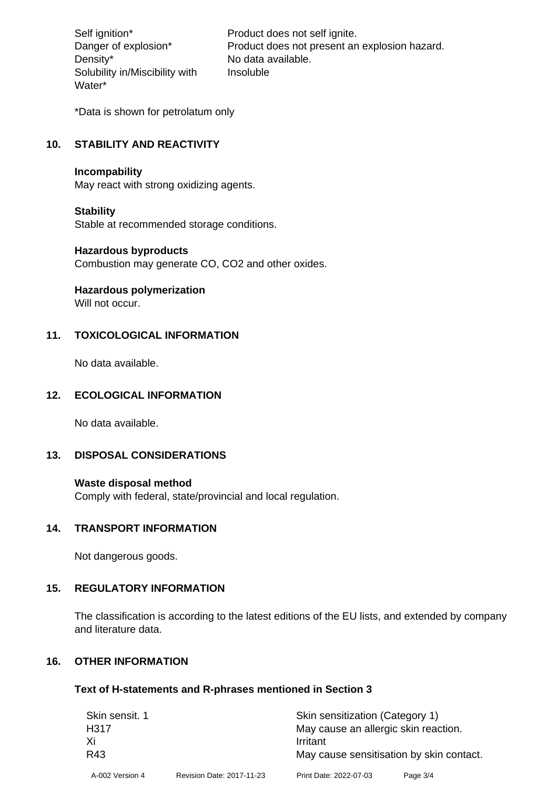Density\* No data available. Solubility in/Miscibility with Water\*

Self ignition\* Product does not self ignite. Danger of explosion\* Product does not present an explosion hazard. Insoluble

\*Data is shown for petrolatum only

# **10. STABILITY AND REACTIVITY**

#### **Incompability**

May react with strong oxidizing agents.

#### **Stability**

Stable at recommended storage conditions.

#### **Hazardous byproducts**

Combustion may generate CO, CO2 and other oxides.

**Hazardous polymerization**

Will not occur.

## **11. TOXICOLOGICAL INFORMATION**

No data available.

## **12. ECOLOGICAL INFORMATION**

No data available.

## **13. DISPOSAL CONSIDERATIONS**

#### **Waste disposal method**

Comply with federal, state/provincial and local regulation.

#### **14. TRANSPORT INFORMATION**

Not dangerous goods.

## **15. REGULATORY INFORMATION**

The classification is according to the latest editions of the EU lists, and extended by company and literature data.

#### **16. OTHER INFORMATION**

#### **Text of H-statements and R-phrases mentioned in Section 3**

| Skin sensit. 1  |                           | Skin sensitization (Category 1)          |          |  |
|-----------------|---------------------------|------------------------------------------|----------|--|
| H317            |                           | May cause an allergic skin reaction.     |          |  |
| Xi              |                           | Irritant                                 |          |  |
| R43             |                           | May cause sensitisation by skin contact. |          |  |
| A-002 Version 4 | Revision Date: 2017-11-23 | Print Date: 2022-07-03                   | Page 3/4 |  |